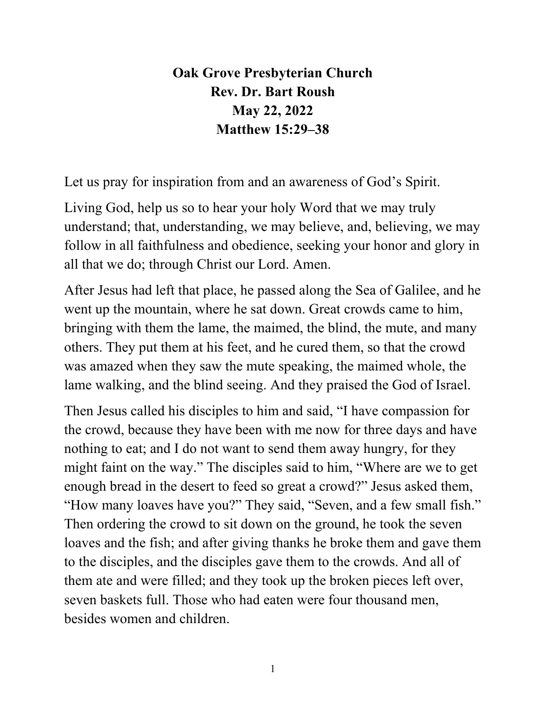**Oak Grove Presbyterian Church Rev. Dr. Bart Roush May 22, 2022 Matthew 15:29–38**

Let us pray for inspiration from and an awareness of God's Spirit.

Living God, help us so to hear your holy Word that we may truly understand; that, understanding, we may believe, and, believing, we may follow in all faithfulness and obedience, seeking your honor and glory in all that we do; through Christ our Lord. Amen.

After Jesus had left that place, he passed along the Sea of Galilee, and he went up the mountain, where he sat down. Great crowds came to him, bringing with them the lame, the maimed, the blind, the mute, and many others. They put them at his feet, and he cured them, so that the crowd was amazed when they saw the mute speaking, the maimed whole, the lame walking, and the blind seeing. And they praised the God of Israel.

Then Jesus called his disciples to him and said, "I have compassion for the crowd, because they have been with me now for three days and have nothing to eat; and I do not want to send them away hungry, for they might faint on the way." The disciples said to him, "Where are we to get enough bread in the desert to feed so great a crowd?" Jesus asked them, "How many loaves have you?" They said, "Seven, and a few small fish." Then ordering the crowd to sit down on the ground, he took the seven loaves and the fish; and after giving thanks he broke them and gave them to the disciples, and the disciples gave them to the crowds. And all of them ate and were filled; and they took up the broken pieces left over, seven baskets full. Those who had eaten were four thousand men, besides women and children.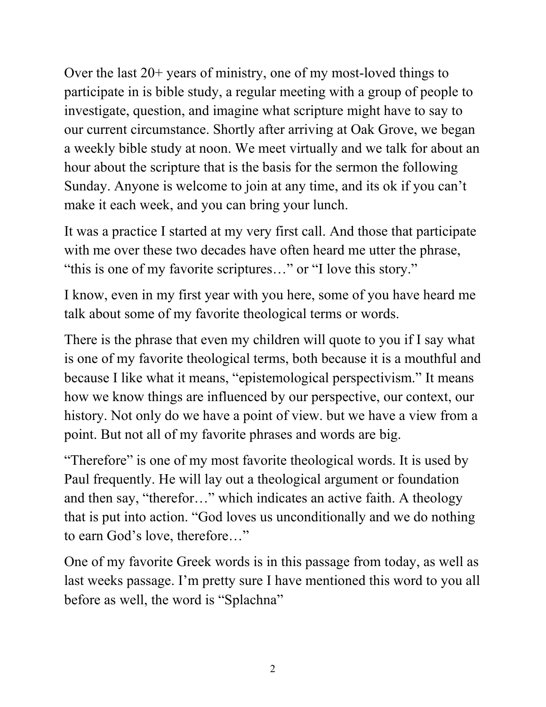Over the last 20+ years of ministry, one of my most-loved things to participate in is bible study, a regular meeting with a group of people to investigate, question, and imagine what scripture might have to say to our current circumstance. Shortly after arriving at Oak Grove, we began a weekly bible study at noon. We meet virtually and we talk for about an hour about the scripture that is the basis for the sermon the following Sunday. Anyone is welcome to join at any time, and its ok if you can't make it each week, and you can bring your lunch.

It was a practice I started at my very first call. And those that participate with me over these two decades have often heard me utter the phrase, "this is one of my favorite scriptures…" or "I love this story."

I know, even in my first year with you here, some of you have heard me talk about some of my favorite theological terms or words.

There is the phrase that even my children will quote to you if I say what is one of my favorite theological terms, both because it is a mouthful and because I like what it means, "epistemological perspectivism." It means how we know things are influenced by our perspective, our context, our history. Not only do we have a point of view. but we have a view from a point. But not all of my favorite phrases and words are big.

"Therefore" is one of my most favorite theological words. It is used by Paul frequently. He will lay out a theological argument or foundation and then say, "therefor…" which indicates an active faith. A theology that is put into action. "God loves us unconditionally and we do nothing to earn God's love, therefore…"

One of my favorite Greek words is in this passage from today, as well as last weeks passage. I'm pretty sure I have mentioned this word to you all before as well, the word is "Splachna"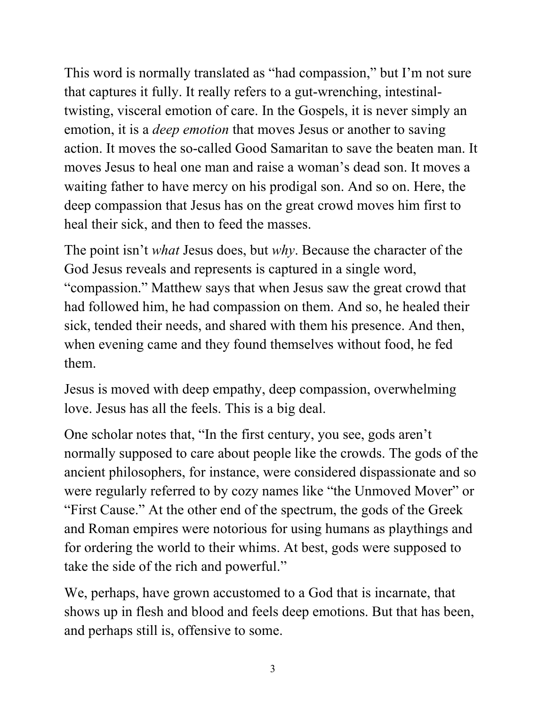This word is normally translated as "had compassion," but I'm not sure that captures it fully. It really refers to a gut-wrenching, intestinaltwisting, visceral emotion of care. In the Gospels, it is never simply an emotion, it is a *deep emotion* that moves Jesus or another to saving action. It moves the so-called Good Samaritan to save the beaten man. It moves Jesus to heal one man and raise a woman's dead son. It moves a waiting father to have mercy on his prodigal son. And so on. Here, the deep compassion that Jesus has on the great crowd moves him first to heal their sick, and then to feed the masses.

The point isn't *what* Jesus does, but *why*. Because the character of the God Jesus reveals and represents is captured in a single word, "compassion." Matthew says that when Jesus saw the great crowd that had followed him, he had compassion on them. And so, he healed their sick, tended their needs, and shared with them his presence. And then, when evening came and they found themselves without food, he fed them.

Jesus is moved with deep empathy, deep compassion, overwhelming love. Jesus has all the feels. This is a big deal.

One scholar notes that, "In the first century, you see, gods aren't normally supposed to care about people like the crowds. The gods of the ancient philosophers, for instance, were considered dispassionate and so were regularly referred to by cozy names like "the Unmoved Mover" or "First Cause." At the other end of the spectrum, the gods of the Greek and Roman empires were notorious for using humans as playthings and for ordering the world to their whims. At best, gods were supposed to take the side of the rich and powerful."

We, perhaps, have grown accustomed to a God that is incarnate, that shows up in flesh and blood and feels deep emotions. But that has been, and perhaps still is, offensive to some.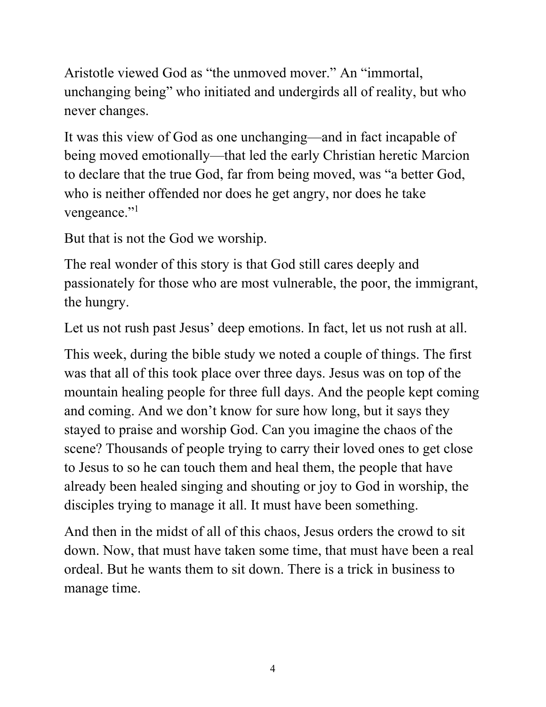Aristotle viewed God as "the unmoved mover." An "immortal, unchanging being" who initiated and undergirds all of reality, but who never changes.

It was this view of God as one unchanging—and in fact incapable of being moved emotionally—that led the early Christian heretic Marcion to declare that the true God, far from being moved, was "a better God, who is neither offended nor does he get angry, nor does he take vengeance."<sup>1</sup>

But that is not the God we worship.

The real wonder of this story is that God still cares deeply and passionately for those who are most vulnerable, the poor, the immigrant, the hungry.

Let us not rush past Jesus' deep emotions. In fact, let us not rush at all.

This week, during the bible study we noted a couple of things. The first was that all of this took place over three days. Jesus was on top of the mountain healing people for three full days. And the people kept coming and coming. And we don't know for sure how long, but it says they stayed to praise and worship God. Can you imagine the chaos of the scene? Thousands of people trying to carry their loved ones to get close to Jesus to so he can touch them and heal them, the people that have already been healed singing and shouting or joy to God in worship, the disciples trying to manage it all. It must have been something.

And then in the midst of all of this chaos, Jesus orders the crowd to sit down. Now, that must have taken some time, that must have been a real ordeal. But he wants them to sit down. There is a trick in business to manage time.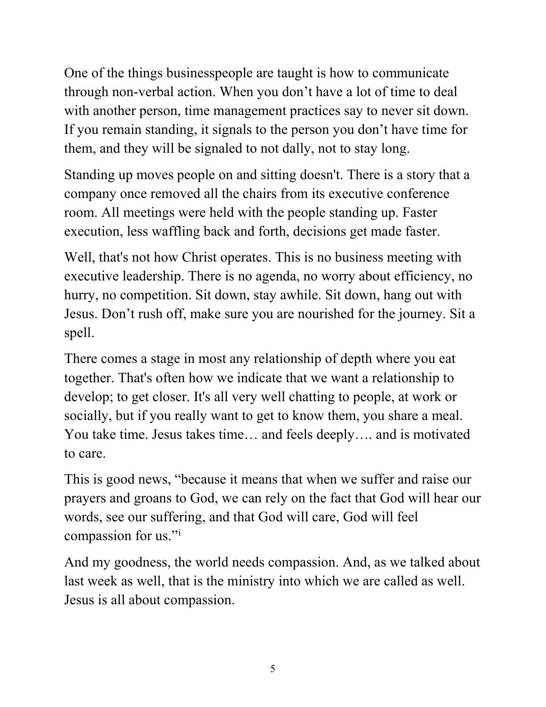One of the things businesspeople are taught is how to communicate through non-verbal action. When you don't have a lot of time to deal with another person, time management practices say to never sit down. If you remain standing, it signals to the person you don't have time for them, and they will be signaled to not dally, not to stay long.

Standing up moves people on and sitting doesn't. There is a story that a company once removed all the chairs from its executive conference room. All meetings were held with the people standing up. Faster execution, less waffling back and forth, decisions get made faster.

Well, that's not how Christ operates. This is no business meeting with executive leadership. There is no agenda, no worry about efficiency, no hurry, no competition. Sit down, stay awhile. Sit down, hang out with Jesus. Don't rush off, make sure you are nourished for the journey. Sit a spell.

There comes a stage in most any relationship of depth where you eat together. That's often how we indicate that we want a relationship to develop; to get closer. It's all very well chatting to people, at work or socially, but if you really want to get to know them, you share a meal. You take time. Jesus takes time… and feels deeply…. and is motivated to care.

This is good news, "because it means that when we suffer and raise our prayers and groans to God, we can rely on the fact that God will hear our words, see our suffering, and that God will care, God will feel compass[i](#page-6-0)on for us."<sup>i</sup>

And my goodness, the world needs compassion. And, as we talked about last week as well, that is the ministry into which we are called as well. Jesus is all about compassion.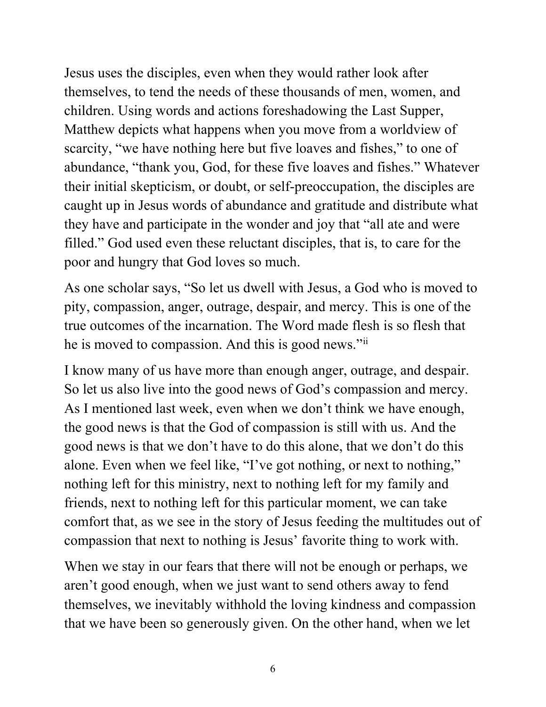Jesus uses the disciples, even when they would rather look after themselves, to tend the needs of these thousands of men, women, and children. Using words and actions foreshadowing the Last Supper, Matthew depicts what happens when you move from a worldview of scarcity, "we have nothing here but five loaves and fishes," to one of abundance, "thank you, God, for these five loaves and fishes." Whatever their initial skepticism, or doubt, or self-preoccupation, the disciples are caught up in Jesus words of abundance and gratitude and distribute what they have and participate in the wonder and joy that "all ate and were filled." God used even these reluctant disciples, that is, to care for the poor and hungry that God loves so much.

As one scholar says, "So let us dwell with Jesus, a God who is moved to pity, compassion, anger, outrage, despair, and mercy. This is one of the true outcomes of the incarnation. The Word made flesh is so flesh that he is moved to compassion. And this is good news."[ii](#page-6-1)

I know many of us have more than enough anger, outrage, and despair. So let us also live into the good news of God's compassion and mercy. As I mentioned last week, even when we don't think we have enough, the good news is that the God of compassion is still with us. And the good news is that we don't have to do this alone, that we don't do this alone. Even when we feel like, "I've got nothing, or next to nothing," nothing left for this ministry, next to nothing left for my family and friends, next to nothing left for this particular moment, we can take comfort that, as we see in the story of Jesus feeding the multitudes out of compassion that next to nothing is Jesus' favorite thing to work with.

When we stay in our fears that there will not be enough or perhaps, we aren't good enough, when we just want to send others away to fend themselves, we inevitably withhold the loving kindness and compassion that we have been so generously given. On the other hand, when we let